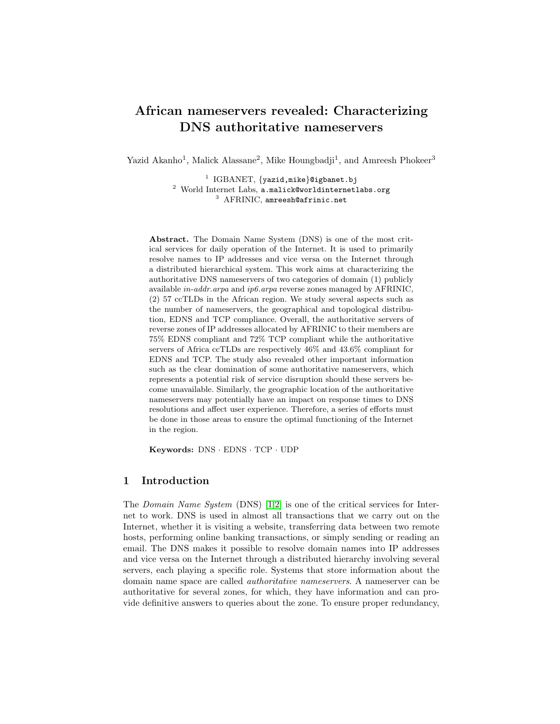# African nameservers revealed: Characterizing DNS authoritative nameservers

Yazid Akanho<sup>1</sup>, Malick Alassane<sup>2</sup>, Mike Houngbadji<sup>1</sup>, and Amreesh Phokeer<sup>3</sup>

<sup>1</sup> IGBANET, {yazid,mike}@igbanet.bj <sup>2</sup> World Internet Labs, a.malick@worldinternetlabs.org <sup>3</sup> AFRINIC, amreesh@afrinic.net

Abstract. The Domain Name System (DNS) is one of the most critical services for daily operation of the Internet. It is used to primarily resolve names to IP addresses and vice versa on the Internet through a distributed hierarchical system. This work aims at characterizing the authoritative DNS nameservers of two categories of domain (1) publicly available in-addr.arpa and ip6.arpa reverse zones managed by AFRINIC, (2) 57 ccTLDs in the African region. We study several aspects such as the number of nameservers, the geographical and topological distribution, EDNS and TCP compliance. Overall, the authoritative servers of reverse zones of IP addresses allocated by AFRINIC to their members are 75% EDNS compliant and 72% TCP compliant while the authoritative servers of Africa ccTLDs are respectively 46% and 43.6% compliant for EDNS and TCP. The study also revealed other important information such as the clear domination of some authoritative nameservers, which represents a potential risk of service disruption should these servers become unavailable. Similarly, the geographic location of the authoritative nameservers may potentially have an impact on response times to DNS resolutions and affect user experience. Therefore, a series of efforts must be done in those areas to ensure the optimal functioning of the Internet in the region.

Keywords: DNS · EDNS · TCP · UDP

#### 1 Introduction

The Domain Name System (DNS) [\[1,](#page-14-0)[2\]](#page-14-1) is one of the critical services for Internet to work. DNS is used in almost all transactions that we carry out on the Internet, whether it is visiting a website, transferring data between two remote hosts, performing online banking transactions, or simply sending or reading an email. The DNS makes it possible to resolve domain names into IP addresses and vice versa on the Internet through a distributed hierarchy involving several servers, each playing a specific role. Systems that store information about the domain name space are called authoritative nameservers. A nameserver can be authoritative for several zones, for which, they have information and can provide definitive answers to queries about the zone. To ensure proper redundancy,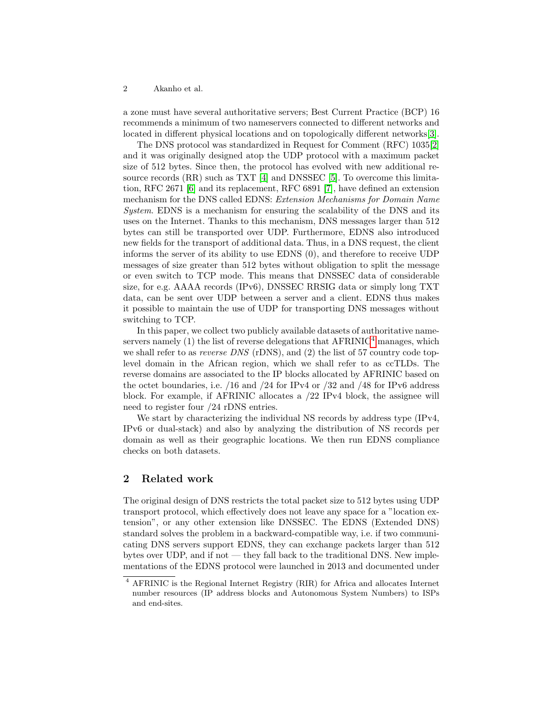a zone must have several authoritative servers; Best Current Practice (BCP) 16 recommends a minimum of two nameservers connected to different networks and located in different physical locations and on topologically different networks[\[3\]](#page-14-2).

The DNS protocol was standardized in Request for Comment (RFC) 1035[\[2\]](#page-14-1) and it was originally designed atop the UDP protocol with a maximum packet size of 512 bytes. Since then, the protocol has evolved with new additional resource records (RR) such as TXT [\[4\]](#page-14-3) and DNSSEC [\[5\]](#page-14-4). To overcome this limitation, RFC 2671 [\[6\]](#page-14-5) and its replacement, RFC 6891 [\[7\]](#page-14-6), have defined an extension mechanism for the DNS called EDNS: Extension Mechanisms for Domain Name System. EDNS is a mechanism for ensuring the scalability of the DNS and its uses on the Internet. Thanks to this mechanism, DNS messages larger than 512 bytes can still be transported over UDP. Furthermore, EDNS also introduced new fields for the transport of additional data. Thus, in a DNS request, the client informs the server of its ability to use EDNS (0), and therefore to receive UDP messages of size greater than 512 bytes without obligation to split the message or even switch to TCP mode. This means that DNSSEC data of considerable size, for e.g. AAAA records (IPv6), DNSSEC RRSIG data or simply long TXT data, can be sent over UDP between a server and a client. EDNS thus makes it possible to maintain the use of UDP for transporting DNS messages without switching to TCP.

In this paper, we collect two publicly available datasets of authoritative nameservers namely  $(1)$  the list of reverse delegations that AFRINIC<sup>[4](#page-1-0)</sup> manages, which we shall refer to as *reverse DNS* (rDNS), and (2) the list of 57 country code toplevel domain in the African region, which we shall refer to as ccTLDs. The reverse domains are associated to the IP blocks allocated by AFRINIC based on the octet boundaries, i.e. /16 and /24 for IPv4 or /32 and /48 for IPv6 address block. For example, if AFRINIC allocates a /22 IPv4 block, the assignee will need to register four /24 rDNS entries.

We start by characterizing the individual NS records by address type (IPv4, IPv6 or dual-stack) and also by analyzing the distribution of NS records per domain as well as their geographic locations. We then run EDNS compliance checks on both datasets.

#### 2 Related work

The original design of DNS restricts the total packet size to 512 bytes using UDP transport protocol, which effectively does not leave any space for a "location extension", or any other extension like DNSSEC. The EDNS (Extended DNS) standard solves the problem in a backward-compatible way, i.e. if two communicating DNS servers support EDNS, they can exchange packets larger than 512 bytes over UDP, and if not — they fall back to the traditional DNS. New implementations of the EDNS protocol were launched in 2013 and documented under

<span id="page-1-0"></span><sup>4</sup> AFRINIC is the Regional Internet Registry (RIR) for Africa and allocates Internet number resources (IP address blocks and Autonomous System Numbers) to ISPs and end-sites.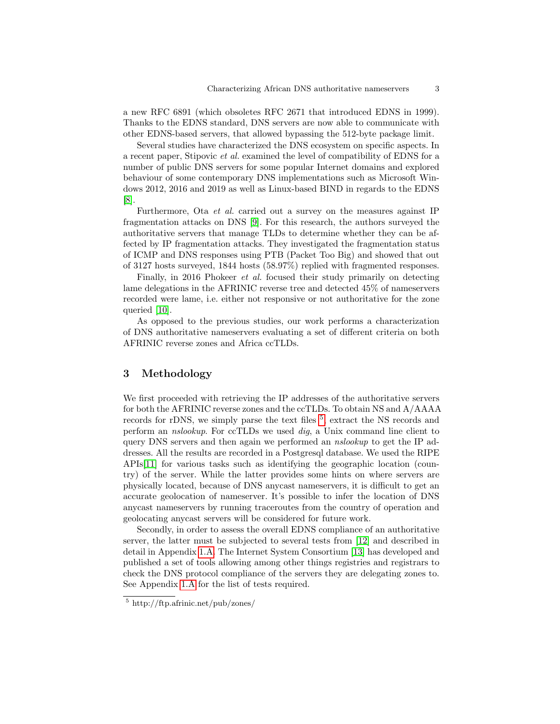a new RFC 6891 (which obsoletes RFC 2671 that introduced EDNS in 1999). Thanks to the EDNS standard, DNS servers are now able to communicate with other EDNS-based servers, that allowed bypassing the 512-byte package limit.

Several studies have characterized the DNS ecosystem on specific aspects. In a recent paper, Stipovic et al. examined the level of compatibility of EDNS for a number of public DNS servers for some popular Internet domains and explored behaviour of some contemporary DNS implementations such as Microsoft Windows 2012, 2016 and 2019 as well as Linux-based BIND in regards to the EDNS [\[8\]](#page-15-0).

Furthermore, Ota et al. carried out a survey on the measures against IP fragmentation attacks on DNS [\[9\]](#page-15-1). For this research, the authors surveyed the authoritative servers that manage TLDs to determine whether they can be affected by IP fragmentation attacks. They investigated the fragmentation status of ICMP and DNS responses using PTB (Packet Too Big) and showed that out of 3127 hosts surveyed, 1844 hosts (58.97%) replied with fragmented responses.

Finally, in 2016 Phokeer *et al.* focused their study primarily on detecting lame delegations in the AFRINIC reverse tree and detected 45% of nameservers recorded were lame, i.e. either not responsive or not authoritative for the zone queried [\[10\]](#page-15-2).

As opposed to the previous studies, our work performs a characterization of DNS authoritative nameservers evaluating a set of different criteria on both AFRINIC reverse zones and Africa ccTLDs.

### 3 Methodology

We first proceeded with retrieving the IP addresses of the authoritative servers for both the AFRINIC reverse zones and the ccTLDs. To obtain NS and A/AAAA records for rDNS, we simply parse the text files <sup>[5](#page-2-0)</sup>, extract the NS records and perform an nslookup. For ccTLDs we used dig, a Unix command line client to query DNS servers and then again we performed an *nslookup* to get the IP addresses. All the results are recorded in a Postgresql database. We used the RIPE APIs[\[11\]](#page-15-3) for various tasks such as identifying the geographic location (country) of the server. While the latter provides some hints on where servers are physically located, because of DNS anycast nameservers, it is difficult to get an accurate geolocation of nameserver. It's possible to infer the location of DNS anycast nameservers by running traceroutes from the country of operation and geolocating anycast servers will be considered for future work.

Secondly, in order to assess the overall EDNS compliance of an authoritative server, the latter must be subjected to several tests from [\[12\]](#page-15-4) and described in detail in Appendix [1.A.](#page-16-0) The Internet System Consortium [\[13\]](#page-15-5) has developed and published a set of tools allowing among other things registries and registrars to check the DNS protocol compliance of the servers they are delegating zones to. See Appendix [1.A](#page-16-0) for the list of tests required.

<span id="page-2-0"></span><sup>5</sup> http://ftp.afrinic.net/pub/zones/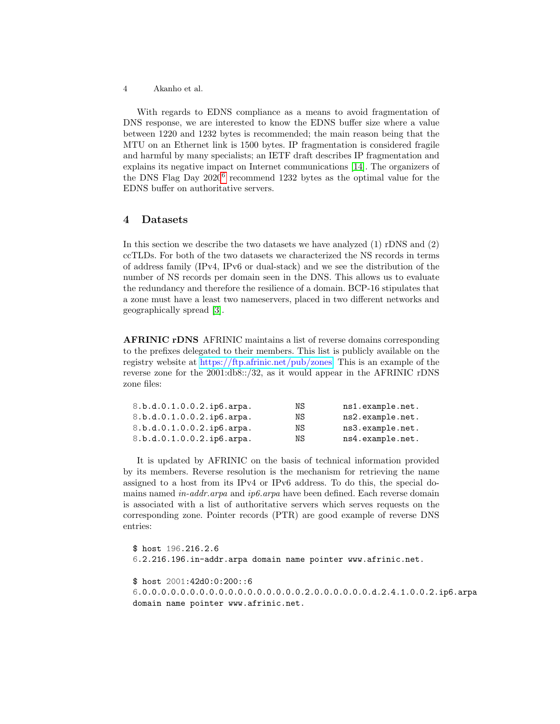With regards to EDNS compliance as a means to avoid fragmentation of DNS response, we are interested to know the EDNS buffer size where a value between 1220 and 1232 bytes is recommended; the main reason being that the MTU on an Ethernet link is 1500 bytes. IP fragmentation is considered fragile and harmful by many specialists; an IETF draft describes IP fragmentation and explains its negative impact on Internet communications [\[14\]](#page-15-6). The organizers of the DNS Flag Day  $2020^6$  $2020^6$  recommend 1232 bytes as the optimal value for the EDNS buffer on authoritative servers.

#### 4 Datasets

In this section we describe the two datasets we have analyzed (1) rDNS and (2) ccTLDs. For both of the two datasets we characterized the NS records in terms of address family (IPv4, IPv6 or dual-stack) and we see the distribution of the number of NS records per domain seen in the DNS. This allows us to evaluate the redundancy and therefore the resilience of a domain. BCP-16 stipulates that a zone must have a least two nameservers, placed in two different networks and geographically spread [\[3\]](#page-14-2).

AFRINIC rDNS AFRINIC maintains a list of reverse domains corresponding to the prefixes delegated to their members. This list is publicly available on the registry website at [https://ftp.afrinic.net/pub/zones.](https://ftp.afrinic.net/pub/zones) This is an example of the reverse zone for the 2001:db8::/32, as it would appear in the AFRINIC rDNS zone files:

| 8.b.d.0.1.0.0.2.ip6.arpa. | NS | ns1.example.net. |
|---------------------------|----|------------------|
| 8.b.d.0.1.0.0.2.ip6.arpa. | ΝS | ns2.example.net. |
| 8.b.d.0.1.0.0.2.ip6.arpa. | ΝS | ns3.example.net. |
| 8.b.d.0.1.0.0.2.ip6.arpa. | NS | ns4.example.net. |

It is updated by AFRINIC on the basis of technical information provided by its members. Reverse resolution is the mechanism for retrieving the name assigned to a host from its IPv4 or IPv6 address. To do this, the special domains named in-addr.arpa and ip6.arpa have been defined. Each reverse domain is associated with a list of authoritative servers which serves requests on the corresponding zone. Pointer records (PTR) are good example of reverse DNS entries:

\$ host 196.216.2.6 6.2.216.196.in-addr.arpa domain name pointer www.afrinic.net. \$ host 2001:42d0:0:200::6 6.0.0.0.0.0.0.0.0.0.0.0.0.0.0.0.0.0.2.0.0.0.0.0.0.d.2.4.1.0.0.2.ip6.arpa domain name pointer www.afrinic.net.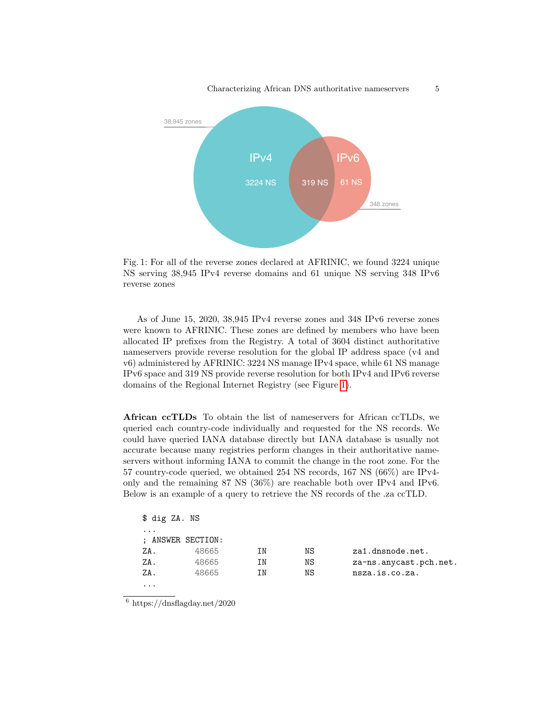<span id="page-4-1"></span>

Fig. 1: For all of the reverse zones declared at AFRINIC, we found 3224 unique NS serving 38,945 IPv4 reverse domains and 61 unique NS serving 348 IPv6 reverse zones

As of June 15, 2020, 38,945 IPv4 reverse zones and 348 IPv6 reverse zones were known to AFRINIC. These zones are defined by members who have been allocated IP prefixes from the Registry. A total of 3604 distinct authoritative nameservers provide reverse resolution for the global IP address space (v4 and v6) administered by AFRINIC: 3224 NS manage IPv4 space, while 61 NS manage IPv6 space and 319 NS provide reverse resolution for both IPv4 and IPv6 reverse domains of the Regional Internet Registry (see Figure [1\)](#page-4-1).

African ccTLDs To obtain the list of nameservers for African ccTLDs, we queried each country-code individually and requested for the NS records. We could have queried IANA database directly but IANA database is usually not accurate because many registries perform changes in their authoritative nameservers without informing IANA to commit the change in the root zone. For the 57 country-code queried, we obtained 254 NS records, 167 NS (66%) are IPv4 only and the remaining 87 NS (36%) are reachable both over IPv4 and IPv6. Below is an example of a query to retrieve the NS records of the .za ccTLD.

| \$ dig ZA. NS |                   |    |    |                        |
|---------------|-------------------|----|----|------------------------|
| .             |                   |    |    |                        |
|               | : ANSWER SECTION: |    |    |                        |
| ZA.           | 48665             | ΙN | ΝS | za1.dnsnode.net.       |
| ZA.           | 48665             | ΙN | ΝS | za-ns.anycast.pch.net. |
| ZA.           | 48665             | ΤN | ΝS | nsza.is.co.za.         |
| $\cdots$      |                   |    |    |                        |

<span id="page-4-0"></span><sup>6</sup> https://dnsflagday.net/2020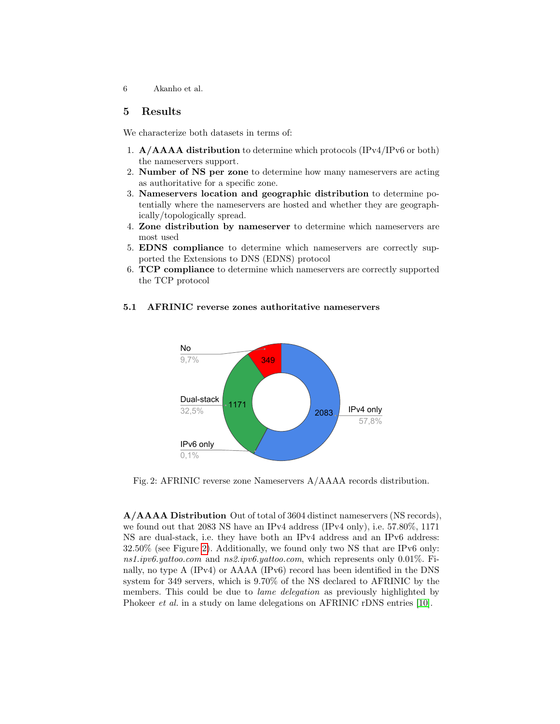#### 5 Results

We characterize both datasets in terms of:

- 1.  $A/AAAA$  distribution to determine which protocols (IPv4/IPv6 or both) the nameservers support.
- 2. Number of NS per zone to determine how many nameservers are acting as authoritative for a specific zone.
- 3. Nameservers location and geographic distribution to determine potentially where the nameservers are hosted and whether they are geographically/topologically spread.
- 4. Zone distribution by nameserver to determine which nameservers are most used
- 5. EDNS compliance to determine which nameservers are correctly supported the Extensions to DNS (EDNS) protocol
- 6. TCP compliance to determine which nameservers are correctly supported the TCP protocol



#### <span id="page-5-0"></span>5.1 AFRINIC reverse zones authoritative nameservers

Fig. 2: AFRINIC reverse zone Nameservers A/AAAA records distribution.

A/AAAA Distribution Out of total of 3604 distinct nameservers (NS records), we found out that 2083 NS have an IPv4 address (IPv4 only), i.e. 57.80%, 1171 NS are dual-stack, i.e. they have both an IPv4 address and an IPv6 address: 32.50% (see Figure [2\)](#page-5-0). Additionally, we found only two NS that are IPv6 only: ns1.ipv6.yattoo.com and ns2.ipv6.yattoo.com, which represents only 0.01%. Finally, no type A (IPv4) or AAAA (IPv6) record has been identified in the DNS system for 349 servers, which is 9.70% of the NS declared to AFRINIC by the members. This could be due to *lame delegation* as previously highlighted by Phokeer *et al.* in a study on lame delegations on AFRINIC rDNS entries [\[10\]](#page-15-2).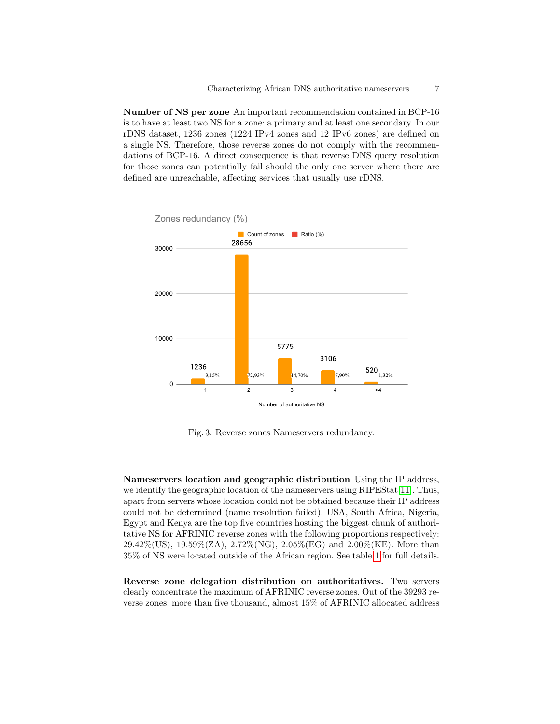Number of NS per zone An important recommendation contained in BCP-16 is to have at least two NS for a zone: a primary and at least one secondary. In our rDNS dataset, 1236 zones (1224 IPv4 zones and 12 IPv6 zones) are defined on a single NS. Therefore, those reverse zones do not comply with the recommendations of BCP-16. A direct consequence is that reverse DNS query resolution for those zones can potentially fail should the only one server where there are defined are unreachable, affecting services that usually use rDNS.



Fig. 3: Reverse zones Nameservers redundancy.

Nameservers location and geographic distribution Using the IP address, we identify the geographic location of the nameservers using RIPEStat[\[11\]](#page-15-3). Thus, apart from servers whose location could not be obtained because their IP address could not be determined (name resolution failed), USA, South Africa, Nigeria, Egypt and Kenya are the top five countries hosting the biggest chunk of authoritative NS for AFRINIC reverse zones with the following proportions respectively:  $29.42\%$ (US),  $19.59\%$ (ZA),  $2.72\%$ (NG),  $2.05\%$ (EG) and  $2.00\%$ (KE). More than 35% of NS were located outside of the African region. See table [1](#page-7-0) for full details.

Reverse zone delegation distribution on authoritatives. Two servers clearly concentrate the maximum of AFRINIC reverse zones. Out of the 39293 reverse zones, more than five thousand, almost 15% of AFRINIC allocated address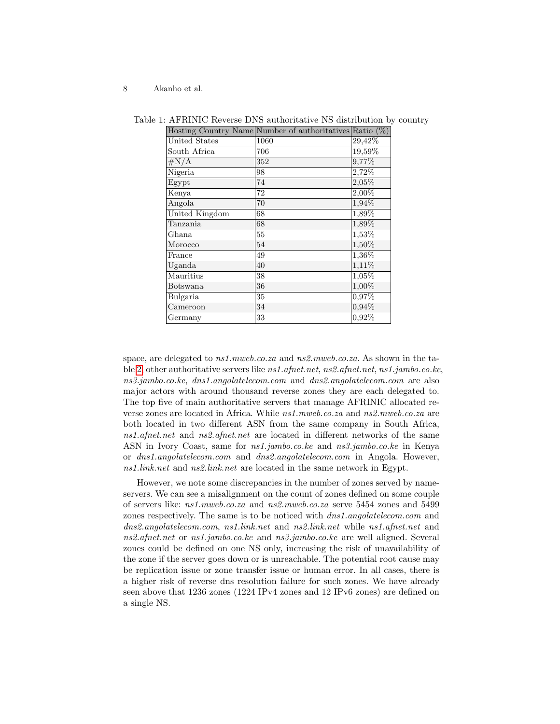<span id="page-7-0"></span>8 Akanho et al.

|                | Trosting Country ivanie runner or authoritatives riatio (70) |          |
|----------------|--------------------------------------------------------------|----------|
| United States  | 1060                                                         | 29,42\%  |
| South Africa   | 706                                                          | 19,59%   |
| $\#N/A$        | 352                                                          | 9,77%    |
| Nigeria        | 98                                                           | 2,72%    |
| Egypt          | 74                                                           | 2,05%    |
| Kenya          | 72                                                           | 2,00%    |
| Angola         | 70                                                           | 1,94%    |
| United Kingdom | 68                                                           | 1,89%    |
| Tanzania       | 68                                                           | 1,89%    |
| Ghana          | 55                                                           | $1,53\%$ |
| Morocco        | 54                                                           | 1,50%    |
| France         | 49                                                           | 1,36%    |
| Uganda         | 40                                                           | 1,11%    |
| Mauritius      | 38                                                           | 1,05%    |
| Botswana       | 36                                                           | 1,00%    |
| Bulgaria       | 35                                                           | 0,97%    |
| Cameroon       | 34                                                           | 0,94%    |
| Germany        | 33                                                           | 0,92%    |

Table 1: AFRINIC Reverse DNS authoritative NS distribution by country Hosting Country Name Number of authoritatives Ratio (%)

space, are delegated to ns1.mweb.co.za and ns2.mweb.co.za. As shown in the table [2,](#page-8-0) other authoritative servers like ns1.afnet.net, ns2.afnet.net, ns1.jambo.co.ke, ns3.jambo.co.ke, dns1.angolatelecom.com and dns2.angolatelecom.com are also major actors with around thousand reverse zones they are each delegated to. The top five of main authoritative servers that manage AFRINIC allocated reverse zones are located in Africa. While ns1.mweb.co.za and ns2.mweb.co.za are both located in two different ASN from the same company in South Africa, ns1.afnet.net and ns2.afnet.net are located in different networks of the same ASN in Ivory Coast, same for ns1.jambo.co.ke and ns3.jambo.co.ke in Kenya or dns1.angolatelecom.com and dns2.angolatelecom.com in Angola. However, ns1.link.net and ns2.link.net are located in the same network in Egypt.

However, we note some discrepancies in the number of zones served by nameservers. We can see a misalignment on the count of zones defined on some couple of servers like: ns1.mweb.co.za and ns2.mweb.co.za serve 5454 zones and 5499 zones respectively. The same is to be noticed with dns1.angolatelecom.com and dns2.angolatelecom.com, ns1.link.net and ns2.link.net while ns1.afnet.net and ns2.afnet.net or ns1.jambo.co.ke and ns3.jambo.co.ke are well aligned. Several zones could be defined on one NS only, increasing the risk of unavailability of the zone if the server goes down or is unreachable. The potential root cause may be replication issue or zone transfer issue or human error. In all cases, there is a higher risk of reverse dns resolution failure for such zones. We have already seen above that 1236 zones (1224 IPv4 zones and 12 IPv6 zones) are defined on a single NS.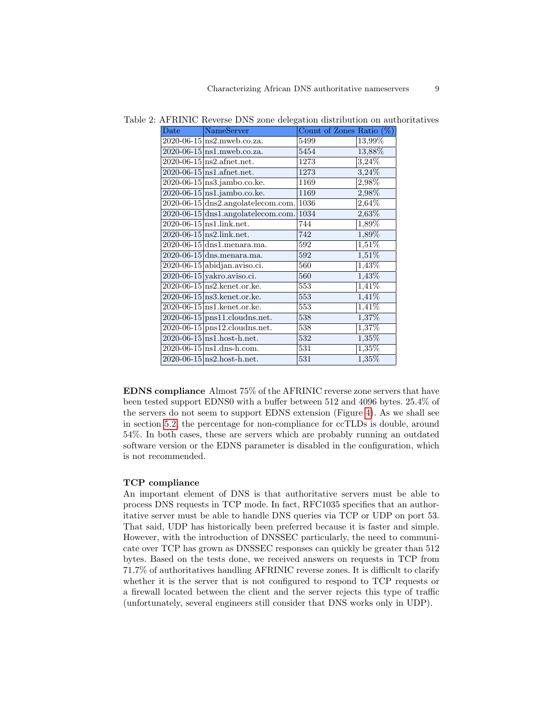| Date | NameServer                              | Count of Zones Ratio $(\%)$ |        |
|------|-----------------------------------------|-----------------------------|--------|
|      | $2020 - 06 - 15$ ns2.mweb.co.za.        | 5499                        | 13,99% |
|      | 2020-06-15 ns1.mweb.co.za.              | 5454                        | 13,88% |
|      | $2020 - 06 - 15$ ns2.afret.net.         | 1273                        | 3,24%  |
|      | $2020 - 06 - 15$ ns1.afnet.net.         | 1273                        | 3,24%  |
|      | 2020-06-15 ns3.jambo.co.ke.             | 1169                        | 2,98%  |
|      | $2020 - 06 - 15$ ns1.jambo.co.ke.       | 1169                        | 2,98%  |
|      | 2020-06-15 dns2.angolatelecom.com. 1036 |                             | 2,64%  |
|      | 2020-06-15 dns1.angolatelecom.com.      | 1034                        | 2,63%  |
|      | $2020-06-15$ ns1.link.net.              | 744                         | 1,89%  |
|      | $2020 - 06 - 15$ ns2.link.net.          | 742                         | 1,89%  |
|      | $2020-06-15$ dns1.menara.ma.            | 592                         | 1,51%  |
|      | 2020-06-15 dns.menara.ma.               | 592                         | 1,51%  |
|      | $2020-06-15$ abidjan.aviso.ci.          | 560                         | 1,43%  |
|      | 2020-06-15 yakro.aviso.ci.              | 560                         | 1,43\% |
|      | $2020 - 06 - 15$ ns2. kenet.or. ke.     | 553                         | 1,41%  |
|      | $2020 - 06 - 15$ ns3. kenet.or. ke.     | 553                         | 1,41%  |
|      | $2020-06-15$ ns1. kenet.or. ke.         | 553                         | 1,41\% |
|      | $2020-06-15$ pns11.cloudns.net.         | 538                         | 1,37%  |
|      | $2020-06-15$ pns12.cloudns.net.         | 538                         | 1,37%  |
|      | 2020-06-15 ns1.host-h.net.              | 532                         | 1,35%  |
|      | $2020 - 06 - 15$  ns1.dns-h.com.        | 531                         | 1,35%  |
|      | $2020 - 06 - 15$ ns2.host-h.net.        | 531                         | 1,35%  |

<span id="page-8-0"></span>Table 2: AFRINIC Reverse DNS zone delegation distribution on authoritatives

EDNS compliance Almost 75% of the AFRINIC reverse zone servers that have been tested support EDNS0 with a buffer between 512 and 4096 bytes. 25.4% of the servers do not seem to support EDNS extension (Figure [4\)](#page-9-0). As we shall see in section [5.2,](#page-10-0) the percentage for non-compliance for ccTLDs is double, around 54%. In both cases, these are servers which are probably running an outdated software version or the EDNS parameter is disabled in the configuration, which is not recommended.

#### TCP compliance

An important element of DNS is that authoritative servers must be able to process DNS requests in TCP mode. In fact, RFC1035 specifies that an authoritative server must be able to handle DNS queries via TCP or UDP on port 53. That said, UDP has historically been preferred because it is faster and simple. However, with the introduction of DNSSEC particularly, the need to communicate over TCP has grown as DNSSEC responses can quickly be greater than 512 bytes. Based on the tests done, we received answers on requests in TCP from 71.7% of authoritatives handling AFRINIC reverse zones. It is difficult to clarify whether it is the server that is not configured to respond to TCP requests or a firewall located between the client and the server rejects this type of traffic (unfortunately, several engineers still consider that DNS works only in UDP).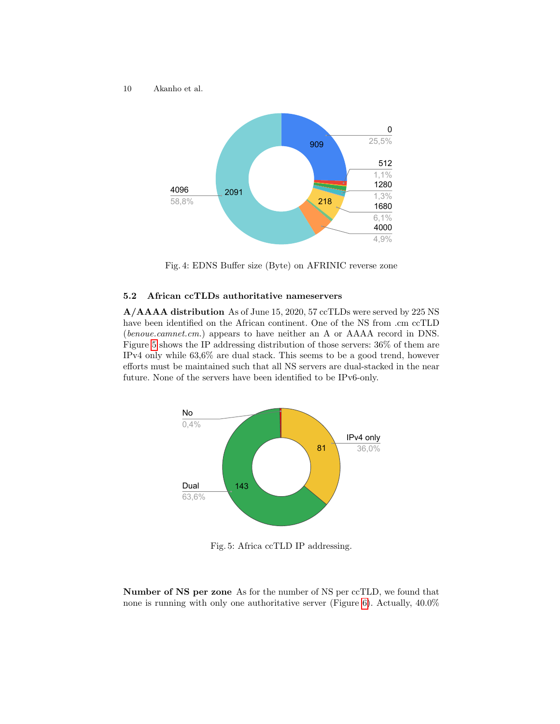

Fig. 4: EDNS Buffer size (Byte) on AFRINIC reverse zone

#### 5.2 African ccTLDs authoritative nameservers

A/AAAA distribution As of June 15, 2020, 57 ccTLDs were served by 225 NS have been identified on the African continent. One of the NS from .cm ccTLD (benoue.camnet.cm.) appears to have neither an A or AAAA record in DNS. Figure [5](#page-9-1) shows the IP addressing distribution of those servers: 36% of them are IPv4 only while 63,6% are dual stack. This seems to be a good trend, however efforts must be maintained such that all NS servers are dual-stacked in the near future. None of the servers have been identified to be IPv6-only.

<span id="page-9-1"></span>

Fig. 5: Africa ccTLD IP addressing.

Number of NS per zone As for the number of NS per ccTLD, we found that none is running with only one authoritative server (Figure [6\)](#page-10-1). Actually, 40.0%

<span id="page-9-0"></span>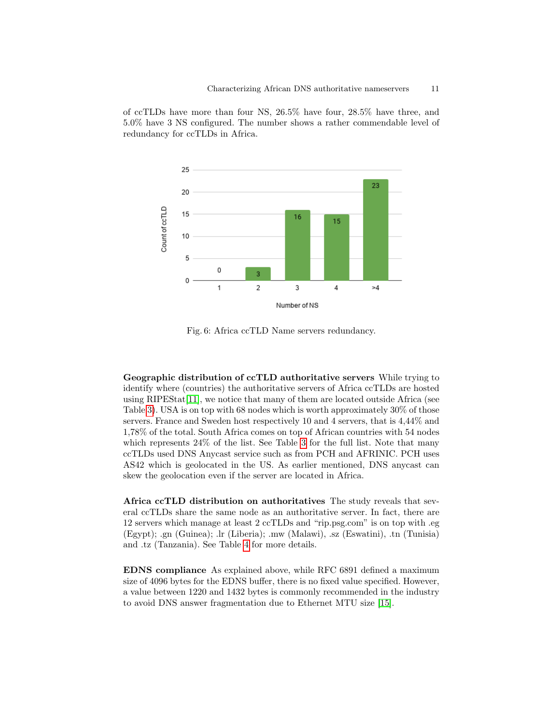of ccTLDs have more than four NS, 26.5% have four, 28.5% have three, and 5.0% have 3 NS configured. The number shows a rather commendable level of redundancy for ccTLDs in Africa.

<span id="page-10-1"></span>

Fig. 6: Africa ccTLD Name servers redundancy.

Geographic distribution of ccTLD authoritative servers While trying to identify where (countries) the authoritative servers of Africa ccTLDs are hosted using RIPEStat[\[11\]](#page-15-3), we notice that many of them are located outside Africa (see Table [3\)](#page-11-0). USA is on top with 68 nodes which is worth approximately 30% of those servers. France and Sweden host respectively 10 and 4 servers, that is 4,44% and 1,78% of the total. South Africa comes on top of African countries with 54 nodes which represents 24% of the list. See Table [3](#page-11-0) for the full list. Note that many ccTLDs used DNS Anycast service such as from PCH and AFRINIC. PCH uses AS42 which is geolocated in the US. As earlier mentioned, DNS anycast can skew the geolocation even if the server are located in Africa.

Africa ccTLD distribution on authoritatives The study reveals that several ccTLDs share the same node as an authoritative server. In fact, there are 12 servers which manage at least 2 ccTLDs and "rip.psg.com" is on top with .eg (Egypt); .gn (Guinea); .lr (Liberia); .mw (Malawi), .sz (Eswatini), .tn (Tunisia) and .tz (Tanzania). See Table [4](#page-12-0) for more details.

<span id="page-10-0"></span>EDNS compliance As explained above, while RFC 6891 defined a maximum size of 4096 bytes for the EDNS buffer, there is no fixed value specified. However, a value between 1220 and 1432 bytes is commonly recommended in the industry to avoid DNS answer fragmentation due to Ethernet MTU size [\[15\]](#page-15-7).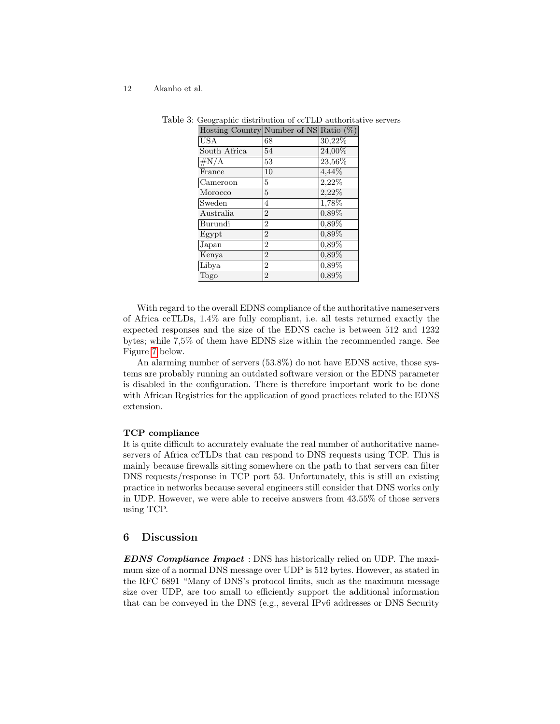| Hosting Country Number of NS Ratio $(\%)$ |                |          |
|-------------------------------------------|----------------|----------|
| USA                                       | 68             | 30,22%   |
| South Africa                              | 54             | 24,00%   |
| $\#N/A$                                   | 53             | 23,56%   |
| France                                    | 10             | 4,44%    |
| Cameroon                                  | 5              | 2,22%    |
| Morocco                                   | 5              | 2,22%    |
| Sweden                                    | 4              | 1,78%    |
| Australia                                 | $\overline{2}$ | 0,89%    |
| Burundi                                   | $\overline{2}$ | 0,89%    |
| Egypt                                     | $\overline{2}$ | 0,89%    |
| Japan                                     | $\overline{2}$ | $0,89\%$ |
| Kenya                                     | $\overline{2}$ | 0,89%    |
| Libya                                     | $\overline{2}$ | $0,89\%$ |
| Togo                                      | $\overline{2}$ | 0,89%    |

<span id="page-11-0"></span>Table 3: Geographic distribution of ccTLD authoritative servers

With regard to the overall EDNS compliance of the authoritative nameservers of Africa ccTLDs, 1.4% are fully compliant, i.e. all tests returned exactly the expected responses and the size of the EDNS cache is between 512 and 1232 bytes; while 7,5% of them have EDNS size within the recommended range. See Figure [7](#page-13-0) below.

An alarming number of servers (53.8%) do not have EDNS active, those systems are probably running an outdated software version or the EDNS parameter is disabled in the configuration. There is therefore important work to be done with African Registries for the application of good practices related to the EDNS extension.

#### TCP compliance

It is quite difficult to accurately evaluate the real number of authoritative nameservers of Africa ccTLDs that can respond to DNS requests using TCP. This is mainly because firewalls sitting somewhere on the path to that servers can filter DNS requests/response in TCP port 53. Unfortunately, this is still an existing practice in networks because several engineers still consider that DNS works only in UDP. However, we were able to receive answers from 43.55% of those servers using TCP.

#### 6 Discussion

EDNS Compliance Impact : DNS has historically relied on UDP. The maximum size of a normal DNS message over UDP is 512 bytes. However, as stated in the RFC 6891 "Many of DNS's protocol limits, such as the maximum message size over UDP, are too small to efficiently support the additional information that can be conveyed in the DNS (e.g., several IPv6 addresses or DNS Security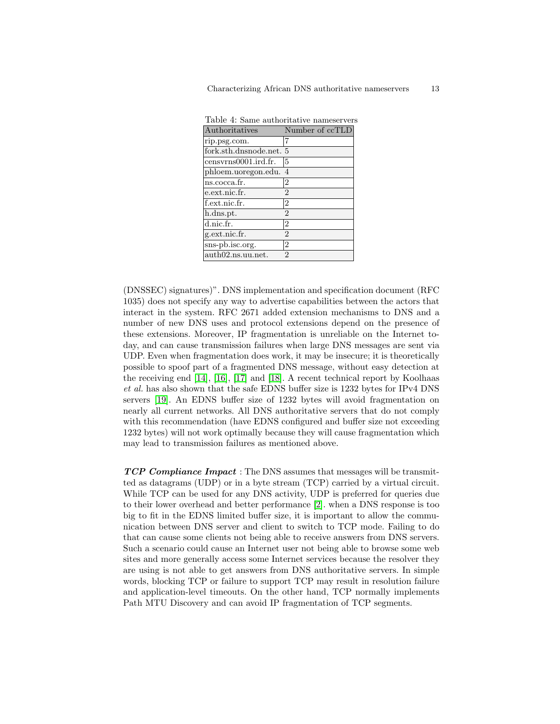| Authoritatives          | Number of ccTLD |
|-------------------------|-----------------|
| rip.psg.com.            |                 |
| fork.sth.dnsnode.net. 5 |                 |
| censyrns0001.ird.fr.    | 5               |
| phloem.uoregon.edu.     | 4               |
| ns.cocca.fr.            | $\overline{2}$  |
| e.ext.nic.fr.           | $\overline{2}$  |
| f.ext.nic.fr.           | $\overline{2}$  |
| h.dns.pt.               | $\mathfrak{D}$  |
| d.nic.fr.               | $\overline{2}$  |
| g.ext.nic.fr.           | 2               |
| sns-pb.isc.org.         | 2               |
| auth02.ns.uu.net.       | 2               |

<span id="page-12-0"></span>Table 4: Same authoritative nameservers

(DNSSEC) signatures)". DNS implementation and specification document (RFC 1035) does not specify any way to advertise capabilities between the actors that interact in the system. RFC 2671 added extension mechanisms to DNS and a number of new DNS uses and protocol extensions depend on the presence of these extensions. Moreover, IP fragmentation is unreliable on the Internet today, and can cause transmission failures when large DNS messages are sent via UDP. Even when fragmentation does work, it may be insecure; it is theoretically possible to spoof part of a fragmented DNS message, without easy detection at the receiving end [\[14\]](#page-15-6), [\[16\]](#page-15-8), [\[17\]](#page-15-9) and [\[18\]](#page-15-10). A recent technical report by Koolhaas et al. has also shown that the safe EDNS buffer size is 1232 bytes for IPv4 DNS servers [\[19\]](#page-15-11). An EDNS buffer size of 1232 bytes will avoid fragmentation on nearly all current networks. All DNS authoritative servers that do not comply with this recommendation (have EDNS configured and buffer size not exceeding 1232 bytes) will not work optimally because they will cause fragmentation which may lead to transmission failures as mentioned above.

TCP Compliance Impact : The DNS assumes that messages will be transmitted as datagrams (UDP) or in a byte stream (TCP) carried by a virtual circuit. While TCP can be used for any DNS activity, UDP is preferred for queries due to their lower overhead and better performance [\[2\]](#page-14-1). when a DNS response is too big to fit in the EDNS limited buffer size, it is important to allow the communication between DNS server and client to switch to TCP mode. Failing to do that can cause some clients not being able to receive answers from DNS servers. Such a scenario could cause an Internet user not being able to browse some web sites and more generally access some Internet services because the resolver they are using is not able to get answers from DNS authoritative servers. In simple words, blocking TCP or failure to support TCP may result in resolution failure and application-level timeouts. On the other hand, TCP normally implements Path MTU Discovery and can avoid IP fragmentation of TCP segments.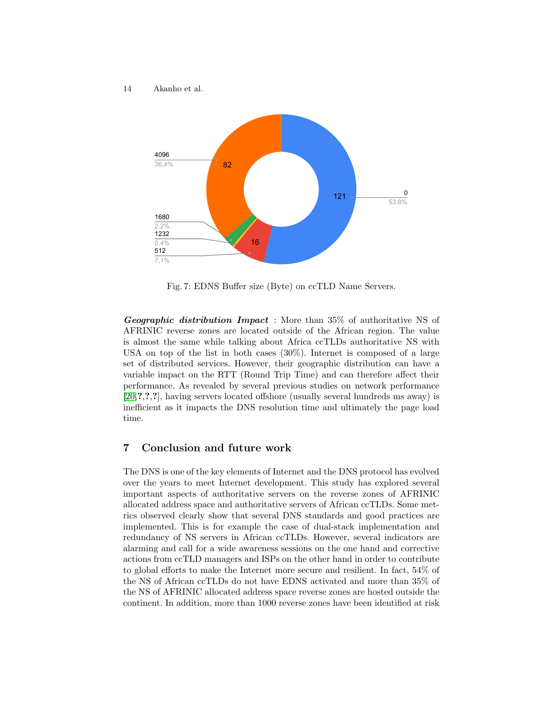<span id="page-13-0"></span>

Fig. 7: EDNS Buffer size (Byte) on ccTLD Name Servers.

Geographic distribution Impact : More than 35% of authoritative NS of AFRINIC reverse zones are located outside of the African region. The value is almost the same while talking about Africa ccTLDs authoritative NS with USA on top of the list in both cases (30%). Internet is composed of a large set of distributed services. However, their geographic distribution can have a variable impact on the RTT (Round Trip Time) and can therefore affect their performance. As revealed by several previous studies on network performance [\[20,](#page-15-12)?,?,?], having servers located offshore (usually several hundreds ms away) is inefficient as it impacts the DNS resolution time and ultimately the page load time.

## 7 Conclusion and future work

The DNS is one of the key elements of Internet and the DNS protocol has evolved over the years to meet Internet development. This study has explored several important aspects of authoritative servers on the reverse zones of AFRINIC allocated address space and authoritative servers of African ccTLDs. Some metrics observed clearly show that several DNS standards and good practices are implemented. This is for example the case of dual-stack implementation and redundancy of NS servers in African ccTLDs. However, several indicators are alarming and call for a wide awareness sessions on the one hand and corrective actions from ccTLD managers and ISPs on the other hand in order to contribute to global efforts to make the Internet more secure and resilient. In fact, 54% of the NS of African ccTLDs do not have EDNS activated and more than 35% of the NS of AFRINIC allocated address space reverse zones are hosted outside the continent. In addition, more than 1000 reverse zones have been identified at risk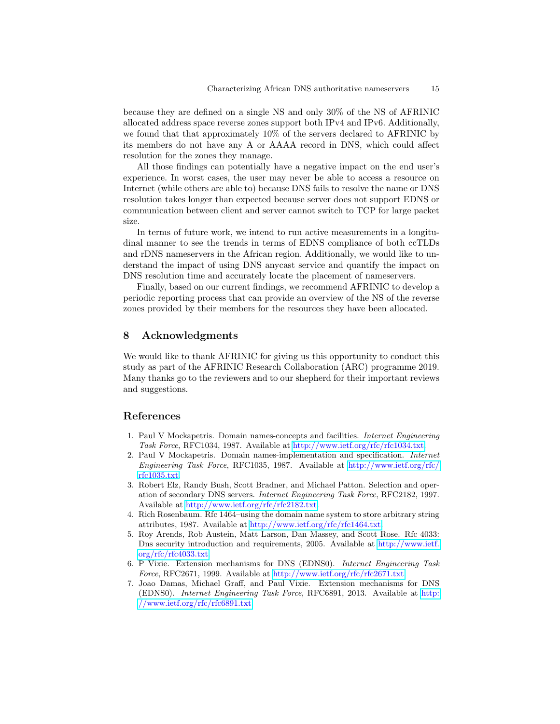because they are defined on a single NS and only 30% of the NS of AFRINIC allocated address space reverse zones support both IPv4 and IPv6. Additionally, we found that that approximately 10% of the servers declared to AFRINIC by its members do not have any A or AAAA record in DNS, which could affect resolution for the zones they manage.

All those findings can potentially have a negative impact on the end user's experience. In worst cases, the user may never be able to access a resource on Internet (while others are able to) because DNS fails to resolve the name or DNS resolution takes longer than expected because server does not support EDNS or communication between client and server cannot switch to TCP for large packet size.

In terms of future work, we intend to run active measurements in a longitudinal manner to see the trends in terms of EDNS compliance of both ccTLDs and rDNS nameservers in the African region. Additionally, we would like to understand the impact of using DNS anycast service and quantify the impact on DNS resolution time and accurately locate the placement of nameservers.

Finally, based on our current findings, we recommend AFRINIC to develop a periodic reporting process that can provide an overview of the NS of the reverse zones provided by their members for the resources they have been allocated.

#### 8 Acknowledgments

We would like to thank AFRINIC for giving us this opportunity to conduct this study as part of the AFRINIC Research Collaboration (ARC) programme 2019. Many thanks go to the reviewers and to our shepherd for their important reviews and suggestions.

#### References

- <span id="page-14-0"></span>1. Paul V Mockapetris. Domain names-concepts and facilities. Internet Engineering Task Force, RFC1034, 1987. Available at [http://www.ietf.org/rfc/rfc1034.txt.](http://www.ietf.org/rfc/rfc1034.txt)
- <span id="page-14-1"></span>2. Paul V Mockapetris. Domain names-implementation and specification. Internet Engineering Task Force, RFC1035, 1987. Available at [http://www.ietf.org/rfc/](http://www.ietf.org/rfc/rfc1035.txt) [rfc1035.txt.](http://www.ietf.org/rfc/rfc1035.txt)
- <span id="page-14-2"></span>3. Robert Elz, Randy Bush, Scott Bradner, and Michael Patton. Selection and operation of secondary DNS servers. Internet Engineering Task Force, RFC2182, 1997. Available at [http://www.ietf.org/rfc/rfc2182.txt.](http://www.ietf.org/rfc/rfc2182.txt)
- <span id="page-14-3"></span>4. Rich Rosenbaum. Rfc 1464–using the domain name system to store arbitrary string attributes, 1987. Available at [http://www.ietf.org/rfc/rfc1464.txt.](http://www.ietf.org/rfc/rfc1464.txt)
- <span id="page-14-4"></span>5. Roy Arends, Rob Austein, Matt Larson, Dan Massey, and Scott Rose. Rfc 4033: Dns security introduction and requirements, 2005. Available at [http://www.ietf.](http://www.ietf.org/rfc/rfc4033.txt) [org/rfc/rfc4033.txt.](http://www.ietf.org/rfc/rfc4033.txt)
- <span id="page-14-5"></span>6. P Vixie. Extension mechanisms for DNS (EDNS0). Internet Engineering Task Force, RFC2671, 1999. Available at [http://www.ietf.org/rfc/rfc2671.txt.](http://www.ietf.org/rfc/rfc2671.txt)
- <span id="page-14-6"></span>7. Joao Damas, Michael Graff, and Paul Vixie. Extension mechanisms for DNS (EDNS0). Internet Engineering Task Force, RFC6891, 2013. Available at [http:](http://www.ietf.org/rfc/rfc6891.txt) [//www.ietf.org/rfc/rfc6891.txt.](http://www.ietf.org/rfc/rfc6891.txt)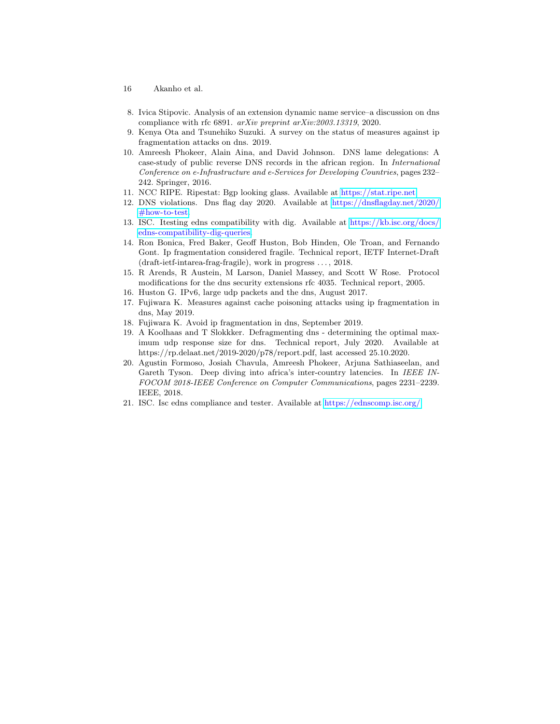- 16 Akanho et al.
- <span id="page-15-13"></span><span id="page-15-0"></span>8. Ivica Stipovic. Analysis of an extension dynamic name service–a discussion on dns compliance with rfc 6891. arXiv preprint arXiv:2003.13319, 2020.
- <span id="page-15-1"></span>9. Kenya Ota and Tsunehiko Suzuki. A survey on the status of measures against ip fragmentation attacks on dns. 2019.
- <span id="page-15-2"></span>10. Amreesh Phokeer, Alain Aina, and David Johnson. DNS lame delegations: A case-study of public reverse DNS records in the african region. In International Conference on e-Infrastructure and e-Services for Developing Countries, pages 232– 242. Springer, 2016.
- <span id="page-15-3"></span>11. NCC RIPE. Ripestat: Bgp looking glass. Available at [https://stat.ripe.net.](https://stat.ripe.net)
- <span id="page-15-4"></span>12. DNS violations. Dns flag day 2020. Available at [https://dnsflagday.net/2020/](https://dnsflagday.net/2020/#how-to-test) [#how-to-test.](https://dnsflagday.net/2020/#how-to-test)
- <span id="page-15-5"></span>13. ISC. Itesting edns compatibility with dig. Available at [https://kb.isc.org/docs/](https://kb.isc.org/docs/edns-compatibility-dig-queries) [edns-compatibility-dig-queries.](https://kb.isc.org/docs/edns-compatibility-dig-queries)
- <span id="page-15-6"></span>14. Ron Bonica, Fred Baker, Geoff Huston, Bob Hinden, Ole Troan, and Fernando Gont. Ip fragmentation considered fragile. Technical report, IETF Internet-Draft (draft-ietf-intarea-frag-fragile), work in progress . . . , 2018.
- <span id="page-15-7"></span>15. R Arends, R Austein, M Larson, Daniel Massey, and Scott W Rose. Protocol modifications for the dns security extensions rfc 4035. Technical report, 2005.
- <span id="page-15-8"></span>16. Huston G. IPv6, large udp packets and the dns, August 2017.
- <span id="page-15-9"></span>17. Fujiwara K. Measures against cache poisoning attacks using ip fragmentation in dns, May 2019.
- <span id="page-15-10"></span>18. Fujiwara K. Avoid ip fragmentation in dns, September 2019.
- <span id="page-15-11"></span>19. A Koolhaas and T Slokkker. Defragmenting dns - determining the optimal maximum udp response size for dns. Technical report, July 2020. Available at https://rp.delaat.net/2019-2020/p78/report.pdf, last accessed 25.10.2020.
- <span id="page-15-12"></span>20. Agustin Formoso, Josiah Chavula, Amreesh Phokeer, Arjuna Sathiaseelan, and Gareth Tyson. Deep diving into africa's inter-country latencies. In IEEE IN-FOCOM 2018-IEEE Conference on Computer Communications, pages 2231–2239. IEEE, 2018.
- 21. ISC. Isc edns compliance and tester. Available at [https://ednscomp.isc.org/.](https://ednscomp.isc.org/)